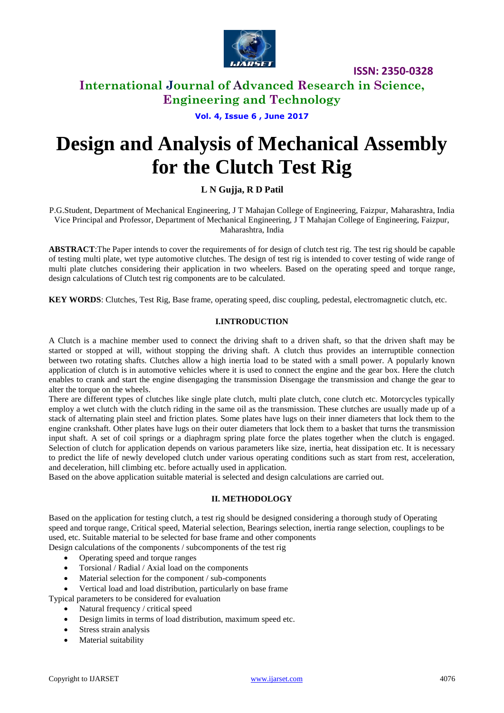

## **International Journal of Advanced Research in Science, Engineering and Technology**

### **Vol. 4, Issue 6 , June 2017**

# **Design and Analysis of Mechanical Assembly for the Clutch Test Rig**

### **L N Gujja, R D Patil**

P.G.Student, Department of Mechanical Engineering, J T Mahajan College of Engineering, Faizpur, Maharashtra, India Vice Principal and Professor, Department of Mechanical Engineering, J T Mahajan College of Engineering, Faizpur, Maharashtra, India

**ABSTRACT**:The Paper intends to cover the requirements of for design of clutch test rig. The test rig should be capable of testing multi plate, wet type automotive clutches. The design of test rig is intended to cover testing of wide range of multi plate clutches considering their application in two wheelers. Based on the operating speed and torque range, design calculations of Clutch test rig components are to be calculated.

**KEY WORDS**: Clutches, Test Rig, Base frame, operating speed, disc coupling, pedestal, electromagnetic clutch, etc.

### **I.INTRODUCTION**

A Clutch is a machine member used to connect the driving shaft to a driven shaft, so that the driven shaft may be started or stopped at will, without stopping the driving shaft. A clutch thus provides an interruptible connection between two rotating shafts. Clutches allow a high inertia load to be stated with a small power. A popularly known application of clutch is in automotive vehicles where it is used to connect the engine and the gear box. Here the clutch enables to crank and start the engine disengaging the transmission Disengage the transmission and change the gear to alter the torque on the wheels.

There are different types of clutches like single plate clutch, multi plate clutch, cone clutch etc. Motorcycles typically employ a wet clutch with the clutch riding in the same oil as the transmission. These clutches are usually made up of a stack of alternating plain steel and friction plates. Some plates have lugs on their inner diameters that lock them to the engine crankshaft. Other plates have lugs on their outer diameters that lock them to a basket that turns the transmission input shaft. A set of coil springs or a diaphragm spring plate force the plates together when the clutch is engaged. Selection of clutch for application depends on various parameters like size, inertia, heat dissipation etc. It is necessary to predict the life of newly developed clutch under various operating conditions such as start from rest, acceleration, and deceleration, hill climbing etc. before actually used in application.

Based on the above application suitable material is selected and design calculations are carried out.

#### **II. METHODOLOGY**

Based on the application for testing clutch, a test rig should be designed considering a thorough study of Operating speed and torque range, Critical speed, Material selection, Bearings selection, inertia range selection, couplings to be used, etc. Suitable material to be selected for base frame and other components

Design calculations of the components / subcomponents of the test rig

- Operating speed and torque ranges
- Torsional / Radial / Axial load on the components
- Material selection for the component / sub-components
- Vertical load and load distribution, particularly on base frame

Typical parameters to be considered for evaluation

- Natural frequency / critical speed
- Design limits in terms of load distribution, maximum speed etc.
- Stress strain analysis
- Material suitability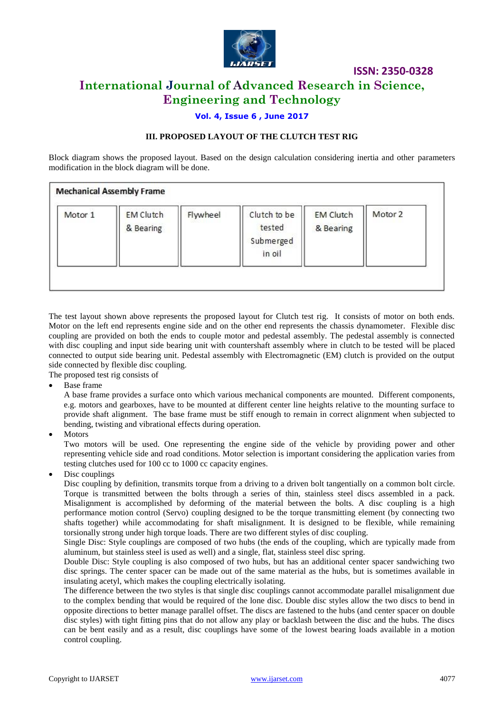

# **International Journal of Advanced Research in Science, Engineering and Technology**

### **Vol. 4, Issue 6 , June 2017**

### **III. PROPOSED LAYOUT OF THE CLUTCH TEST RIG**

Block diagram shows the proposed layout. Based on the design calculation considering inertia and other parameters modification in the block diagram will be done.

| Motor 1 | <b>EM Clutch</b><br>& Bearing | Flywheel | Clutch to be<br>tested<br>Submerged<br>in oil | <b>EM Clutch</b><br>& Bearing | Motor 2 |
|---------|-------------------------------|----------|-----------------------------------------------|-------------------------------|---------|
|---------|-------------------------------|----------|-----------------------------------------------|-------------------------------|---------|

The test layout shown above represents the proposed layout for Clutch test rig. It consists of motor on both ends. Motor on the left end represents engine side and on the other end represents the chassis dynamometer. Flexible disc coupling are provided on both the ends to couple motor and pedestal assembly. The pedestal assembly is connected with disc coupling and input side bearing unit with countershaft assembly where in clutch to be tested will be placed connected to output side bearing unit. Pedestal assembly with Electromagnetic (EM) clutch is provided on the output side connected by flexible disc coupling.

The proposed test rig consists of

Base frame

A base frame provides a surface onto which various mechanical components are mounted. Different components, e.g. motors and gearboxes, have to be mounted at different center line heights relative to the mounting surface to provide shaft alignment. The base frame must be stiff enough to remain in correct alignment when subjected to bending, twisting and vibrational effects during operation.

Motors

Two motors will be used. One representing the engine side of the vehicle by providing power and other representing vehicle side and road conditions. Motor selection is important considering the application varies from testing clutches used for 100 cc to 1000 cc capacity engines.

Disc couplings

Disc coupling by definition, transmits torque from a driving to a driven bolt tangentially on a common bolt circle. Torque is transmitted between the bolts through a series of thin, stainless steel discs assembled in a pack. Misalignment is accomplished by deforming of the material between the bolts. A disc coupling is a high performance motion control (Servo) coupling designed to be the torque transmitting element (by connecting two shafts together) while accommodating for shaft misalignment. It is designed to be flexible, while remaining torsionally strong under high torque loads. There are two different styles of disc coupling.

Single Disc: Style couplings are composed of two hubs (the ends of the coupling, which are typically made from aluminum, but stainless steel is used as well) and a single, flat, stainless steel disc spring.

Double Disc: Style coupling is also composed of two hubs, but has an additional center spacer sandwiching two disc springs. The center spacer can be made out of the same material as the hubs, but is sometimes available in insulating acetyl, which makes the coupling electrically isolating.

The difference between the two styles is that single disc couplings cannot accommodate parallel misalignment due to the complex bending that would be required of the lone disc. Double disc styles allow the two discs to bend in opposite directions to better manage parallel offset. The discs are fastened to the hubs (and center spacer on double disc styles) with tight fitting pins that do not allow any play or backlash between the disc and the hubs. The discs can be bent easily and as a result, disc couplings have some of the lowest bearing loads available in a motion control coupling.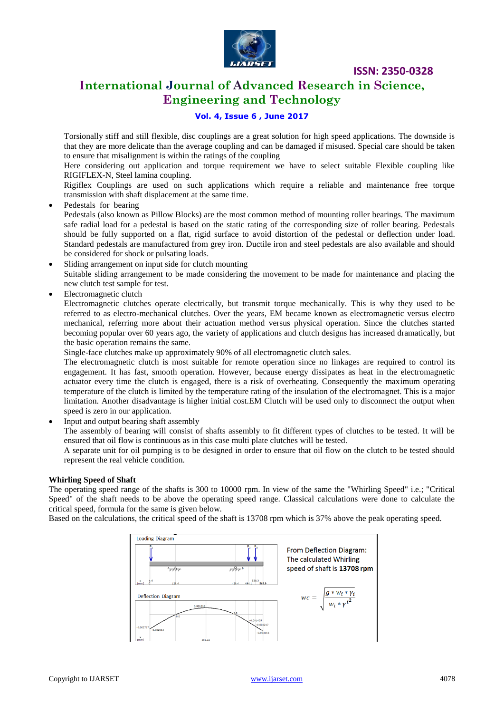

# **International Journal of Advanced Research in Science, Engineering and Technology**

### **Vol. 4, Issue 6 , June 2017**

Torsionally stiff and still flexible, disc couplings are a great solution for high speed applications. The downside is that they are more delicate than the average coupling and can be damaged if misused. Special care should be taken to ensure that misalignment is within the ratings of the coupling

Here considering out application and torque requirement we have to select suitable Flexible coupling like RIGIFLEX-N, Steel lamina coupling.

Rigiflex Couplings are used on such applications which require a reliable and maintenance free torque transmission with shaft displacement at the same time.

Pedestals for bearing

Pedestals (also known as Pillow Blocks) are the most common method of mounting roller bearings. The maximum safe radial load for a pedestal is based on the static rating of the corresponding size of roller bearing. Pedestals should be fully supported on a flat, rigid surface to avoid distortion of the pedestal or deflection under load. Standard pedestals are manufactured from grey iron. Ductile iron and steel pedestals are also available and should be considered for shock or pulsating loads.

Sliding arrangement on input side for clutch mounting

Suitable sliding arrangement to be made considering the movement to be made for maintenance and placing the new clutch test sample for test.

Electromagnetic clutch

Electromagnetic clutches operate electrically, but transmit torque mechanically. This is why they used to be referred to as electro-mechanical clutches. Over the years, EM became known as electromagnetic versus electro mechanical, referring more about their actuation method versus physical operation. Since the clutches started becoming popular over 60 years ago, the variety of applications and clutch designs has increased dramatically, but the basic operation remains the same.

Single-face clutches make up approximately 90% of all electromagnetic clutch sales.

The electromagnetic clutch is most suitable for remote operation since no linkages are required to control its engagement. It has fast, smooth operation. However, because energy dissipates as heat in the electromagnetic actuator every time the clutch is engaged, there is a risk of overheating. Consequently the maximum operating temperature of the clutch is limited by the temperature rating of the insulation of the electromagnet. This is a major limitation. Another disadvantage is higher initial cost.EM Clutch will be used only to disconnect the output when speed is zero in our application.

Input and output bearing shaft assembly

The assembly of bearing will consist of shafts assembly to fit different types of clutches to be tested. It will be ensured that oil flow is continuous as in this case multi plate clutches will be tested.

A separate unit for oil pumping is to be designed in order to ensure that oil flow on the clutch to be tested should represent the real vehicle condition.

#### **Whirling Speed of Shaft**

The operating speed range of the shafts is 300 to 10000 rpm. In view of the same the "Whirling Speed" i.e.; "Critical Speed" of the shaft needs to be above the operating speed range. Classical calculations were done to calculate the critical speed, formula for the same is given below.

Based on the calculations, the critical speed of the shaft is 13708 rpm which is 37% above the peak operating speed.